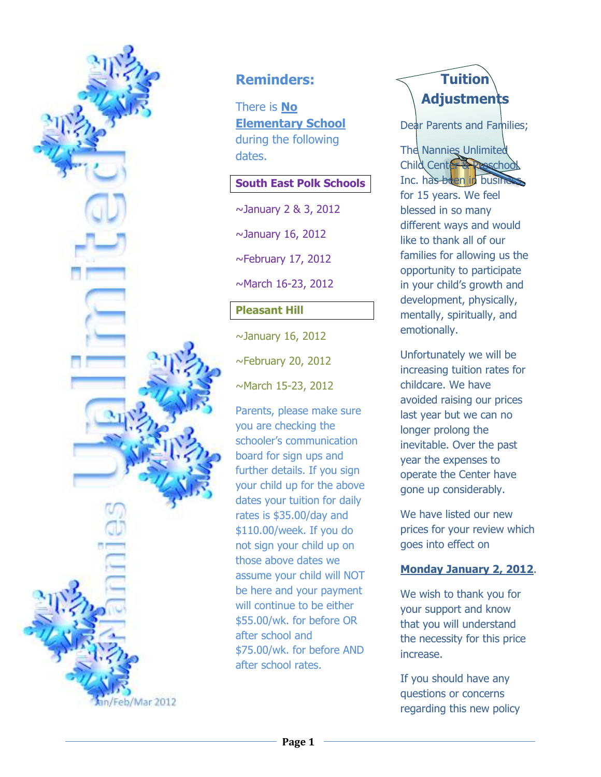

### **Reminders:**

There is **No Elementary School**  during the following dates.

#### **South East Polk Schools**

~January 2 & 3, 2012

 $\sim$ January 16, 2012

~February 17, 2012

~March 16-23, 2012

### **Pleasant Hill**

 $\sim$ January 16, 2012

 $\sim$ February 20, 2012

~March 15-23, 2012

Parents, please make sure you are checking the schooler's communication board for sign ups and further details. If you sign your child up for the above dates your tuition for daily rates is \$35.00/day and \$110.00/week. If you do not sign your child up on those above dates we assume your child will NOT be here and your payment will continue to be either \$55.00/wk. for before OR after school and \$75.00/wk. for before AND after school rates.

# **Tuition Adjustments**

Dear Parents and Families;

The Nannies Unlimited Child Center & Prescho Inc. has been in busine for 15 years. We feel blessed in so many different ways and would like to thank all of our families for allowing us the opportunity to participate in your child's growth and development, physically, mentally, spiritually, and emotionally.

Unfortunately we will be increasing tuition rates for childcare. We have avoided raising our prices last year but we can no longer prolong the inevitable. Over the past year the expenses to operate the Center have gone up considerably.

We have listed our new prices for your review which goes into effect on

#### **Monday January 2, 2012**.

We wish to thank you for your support and know that you will understand the necessity for this price increase.

If you should have any questions or concerns regarding this new policy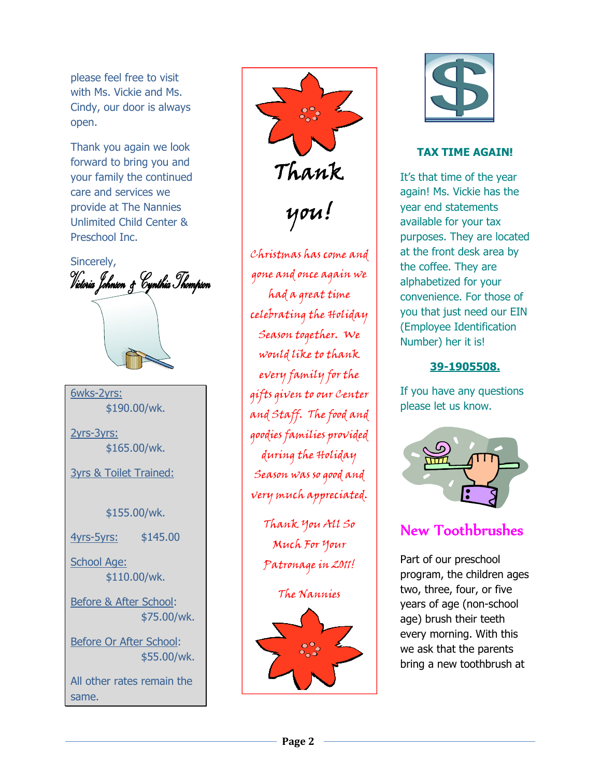please feel free to visit with Ms. Vickie and Ms. Cindy, our door is always open.

Thank you again we look forward to bring you and your family the continued care and services we provide at The Nannies Unlimited Child Center & Preschool Inc.

Sincerely, Victoria Johnson & Cynthia Thompson 6wks-2yrs: \$190.00/wk.

2yrs-3yrs: \$165.00/wk.

3yrs & Toilet Trained:

\$155.00/wk.

4yrs-5yrs: \$145.00

School Age: \$110.00/wk.

Before & After School: \$75.00/wk.

Before Or After School: \$55.00/wk.

All other rates remain the same.



gone and once again we celebrating the Holiday would like to thank every family for the gifts given to our Center and Staff. The food and goodies families provided during the Holiday Season was so good and very much appreciated.

Thank You All So Much For Your Patronage in 2011!

The Nannies





### **TAX TIME AGAIN!**

It's that time of the year again! Ms. Vickie has the year end statements available for your tax purposes. They are located at the front desk area by the coffee. They are alphabetized for your convenience. For those of you that just need our EIN (Employee Identification Number) her it is!

### **39-1905508.**

If you have any questions please let us know.



## New Toothbrushes

Part of our preschool program, the children ages two, three, four, or five years of age (non-school age) brush their teeth every morning. With this we ask that the parents bring a new toothbrush at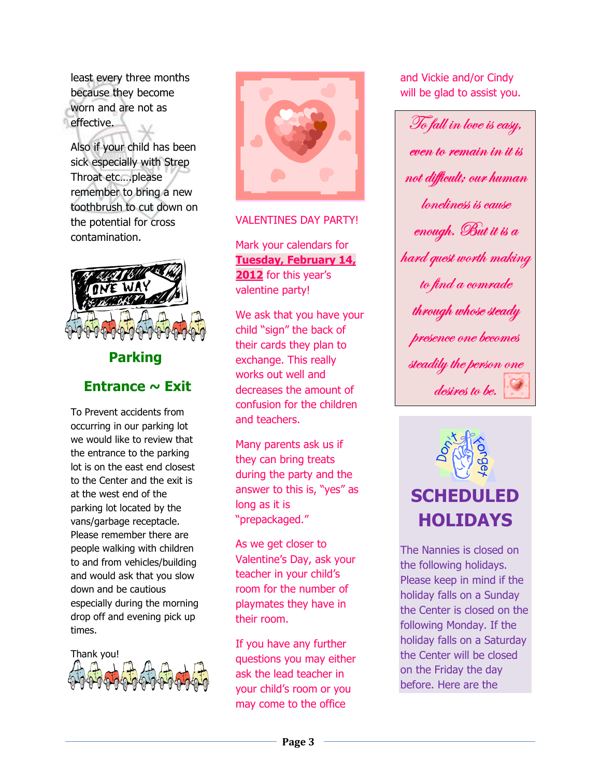least every three months because they become worn and are not as effective.

Also if your child has been sick especially with Strep Throat etc….please remember to bring a new toothbrush to cut down on the potential for cross contamination.



# **Parking Entrance ~ Exit**

To Prevent accidents from occurring in our parking lot we would like to review that the entrance to the parking lot is on the east end closest to the Center and the exit is at the west end of the parking lot located by the vans/garbage receptacle. Please remember there are people walking with children to and from vehicles/building and would ask that you slow down and be cautious especially during the morning drop off and evening pick up times.





#### VALENTINES DAY PARTY!

Mark your calendars for **Tuesday, February 14, 2012** for this year's valentine party!

We ask that you have your child "sign" the back of their cards they plan to exchange. This really works out well and decreases the amount of confusion for the children and teachers.

Many parents ask us if they can bring treats during the party and the answer to this is, "yes" as long as it is "prepackaged."

As we get closer to Valentine's Day, ask your teacher in your child's room for the number of playmates they have in their room.

If you have any further questions you may either ask the lead teacher in your child's room or you may come to the office

and Vickie and/or Cindy will be glad to assist you.

To fall in love is easy, even to remain in it is not difficult; our human loneliness is cause enough. But it is a hard quest worth making to find a comrade through whose steady presence one becomes steadily the person one desires to be.



The Nannies is closed on the following holidays. Please keep in mind if the holiday falls on a Sunday the Center is closed on the following Monday. If the holiday falls on a Saturday the Center will be closed on the Friday the day before. Here are the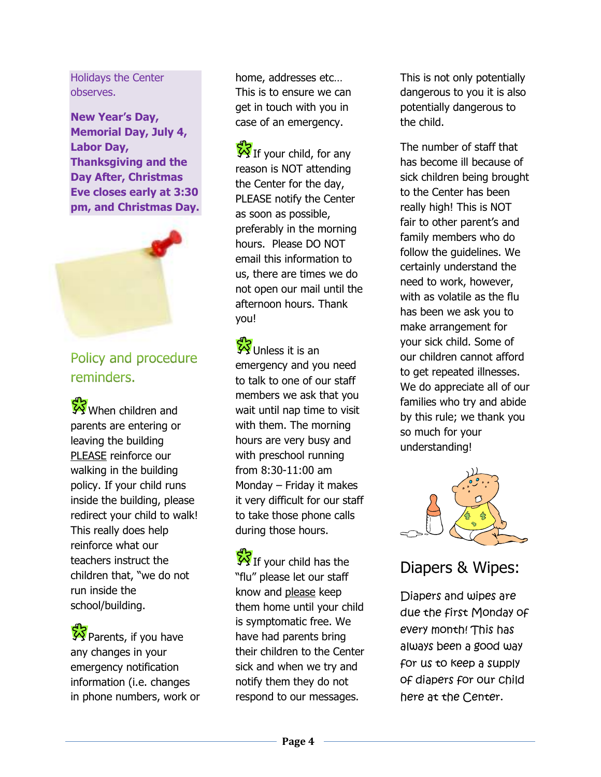Holidays the Center observes.

**New Year's Day, Memorial Day, July 4, Labor Day, Thanksgiving and the Day After, Christmas Eve closes early at 3:30 pm, and Christmas Day.** 



Policy and procedure reminders.

When children and parents are entering or leaving the building PLEASE reinforce our walking in the building policy. If your child runs inside the building, please redirect your child to walk! This really does help reinforce what our teachers instruct the children that, "we do not run inside the school/building.

**VS** Parents, if you have any changes in your emergency notification information (i.e. changes in phone numbers, work or home, addresses etc… This is to ensure we can get in touch with you in case of an emergency.

 $\frac{S}{S}$ If your child, for any reason is NOT attending the Center for the day, PLEASE notify the Center as soon as possible, preferably in the morning hours. Please DO NOT email this information to us, there are times we do not open our mail until the afternoon hours. Thank you!

Unless it is an emergency and you need to talk to one of our staff members we ask that you wait until nap time to visit with them. The morning hours are very busy and with preschool running from 8:30-11:00 am Monday – Friday it makes it very difficult for our staff to take those phone calls during those hours.

If your child has the "flu" please let our staff know and please keep them home until your child is symptomatic free. We have had parents bring their children to the Center sick and when we try and notify them they do not respond to our messages.

This is not only potentially dangerous to you it is also potentially dangerous to the child.

The number of staff that has become ill because of sick children being brought to the Center has been really high! This is NOT fair to other parent's and family members who do follow the guidelines. We certainly understand the need to work, however, with as volatile as the flu has been we ask you to make arrangement for your sick child. Some of our children cannot afford to get repeated illnesses. We do appreciate all of our families who try and abide by this rule; we thank you so much for your understanding!



### Diapers & Wipes:

Diapers and wipes are due the first Monday of every month! This has always been a good way for us to keep a supply of diapers for our child here at the Center.